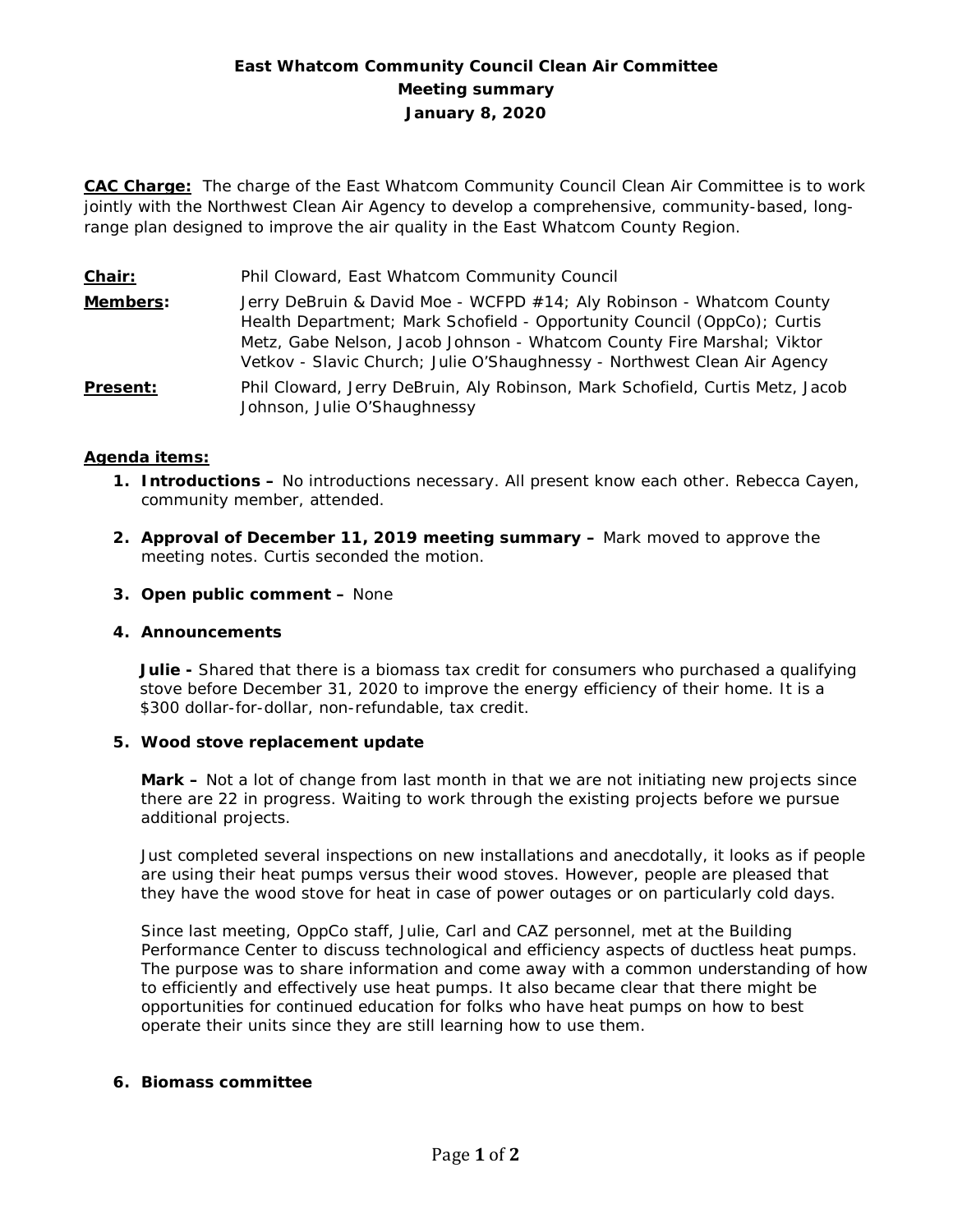# **East Whatcom Community Council Clean Air Committee Meeting summary January 8, 2020**

**CAC Charge:** The charge of the East Whatcom Community Council Clean Air Committee is to work jointly with the Northwest Clean Air Agency to develop a comprehensive, community-based, longrange plan designed to improve the air quality in the East Whatcom County Region.

**Chair:** Phil Cloward, East Whatcom Community Council **Members:** Jerry DeBruin & David Moe - WCFPD #14; Aly Robinson - Whatcom County Health Department; Mark Schofield - Opportunity Council (OppCo); Curtis Metz, Gabe Nelson, Jacob Johnson - Whatcom County Fire Marshal; Viktor Vetkov - Slavic Church; Julie O'Shaughnessy - Northwest Clean Air Agency **Present:** Phil Cloward, Jerry DeBruin, Aly Robinson, Mark Schofield, Curtis Metz, Jacob Johnson, Julie O'Shaughnessy

## **Agenda items:**

- **1. Introductions –** No introductions necessary. All present know each other. Rebecca Cayen, community member, attended.
- **2. Approval of December 11, 2019 meeting summary –** Mark moved to approve the meeting notes. Curtis seconded the motion.
- **3. Open public comment –** None

#### **4. Announcements**

**Julie -** Shared that there is a biomass tax credit for consumers who purchased a qualifying stove before December 31, 2020 to improve the energy efficiency of their home. It is a \$300 dollar-for-dollar, non-refundable, tax credit.

#### **5. Wood stove replacement update**

**Mark –** Not a lot of change from last month in that we are not initiating new projects since there are 22 in progress. Waiting to work through the existing projects before we pursue additional projects.

Just completed several inspections on new installations and anecdotally, it looks as if people are using their heat pumps versus their wood stoves. However, people are pleased that they have the wood stove for heat in case of power outages or on particularly cold days.

Since last meeting, OppCo staff, Julie, Carl and CAZ personnel, met at the Building Performance Center to discuss technological and efficiency aspects of ductless heat pumps. The purpose was to share information and come away with a common understanding of how to efficiently and effectively use heat pumps. It also became clear that there might be opportunities for continued education for folks who have heat pumps on how to best operate their units since they are still learning how to use them.

#### **6. Biomass committee**